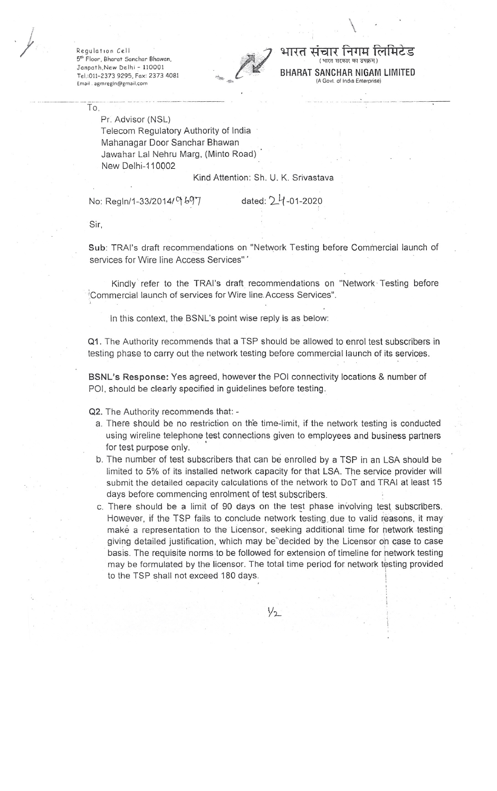Regulation Cell 5<sup>th</sup> Floor, Bharat Sanchar Bhawan, Janpoth,New Delhi - 110001 Tel.:01l-2373 9295, Fox: 2373 4081 Email . [agmregln@gmail.com](mailto:agmregln@gmail.com)



## चार निगम रि **BHARAT SANCHAR NIGAM LIMITED** (A Govt. of India Enterprise)

\.

To,

Pr. Advisor (NSL) Telecom Regulatory Authority of India Mahanagar Door Sanchar Bhawan Jawahar Lal Nehru Marg, (Minto Road) New Delhi-11 0002

Kind Attention: Sh. U. K. Srivastava

No: Regln/1-33/2014/ <sup>o</sup> 697 dated: 24-01-2020

Sir,

Sub: TRAI's draft recommendations on "Network Testing before Commercial launch of services for Wire line Access Services" '

Kindly refer to the TRAI's draft recommendations on "Network' Testing before .".Commercial launch of services for Wire line.Access Services".

In this context, the BSNL's point wise reply is as below:

Q1. The Authority recommends that a TSP should be allowed to enrol test subscribers in testing phase to carry out the network testing before commercial launch of its services.

**BSNL's Response:** Yes agreed, however the POI connectivity locations & number of POI, should be clearly specified in guidelines before testing.

Q2. The Authority recommends that: -

- a. There should be no restriction on the time-limit, if the network testing is conducted using wireline telephone test connections given to employees and business partners for test purpose only.
- b. The number of test subscribers that can be enrolled by a TSP in an LSA should be limited to 5% of its installed network capacity for that LSA. The service provider will submit the detailed capacity calculations of the network to DoT and TRAI at least 15 days before commencing enrolment of test subscribers.
- c. There should be a limit of 90 days on the test phase involving test subscribers. However, if the TSP fails to conclude network testing due to valid reasons, it may make a representation to the Licensor, seeking additional time for network testing giving detailed justification, which may be<sup>5</sup>decided by the Licensor on case to case basis. The requisite norms to be followed for extension of timeline for network testing may be formulated by the licensor. The total time period for network testing provided to the TSP shall not exceed 180 days.

 $\sqrt{2}$